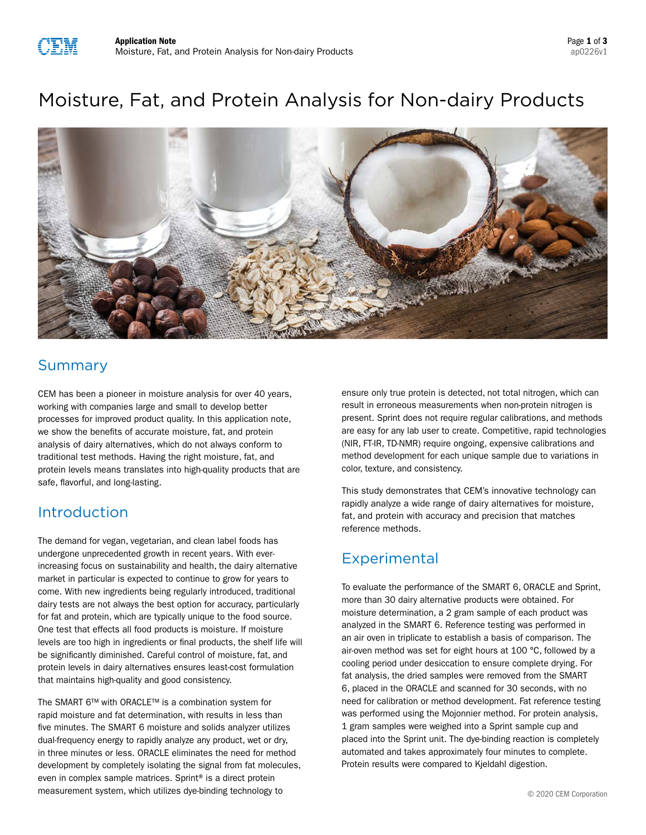

# Moisture, Fat, and Protein Analysis for Non-dairy Products



## Summary

CEM has been a pioneer in moisture analysis for over 40 years, working with companies large and small to develop better processes for improved product quality. In this application note, we show the benefits of accurate moisture, fat, and protein analysis of dairy alternatives, which do not always conform to traditional test methods. Having the right moisture, fat, and protein levels means translates into high-quality products that are safe, flavorful, and long-lasting.

### Introduction

The demand for vegan, vegetarian, and clean label foods has undergone unprecedented growth in recent years. With everincreasing focus on sustainability and health, the dairy alternative market in particular is expected to continue to grow for years to come. With new ingredients being regularly introduced, traditional dairy tests are not always the best option for accuracy, particularly for fat and protein, which are typically unique to the food source. One test that effects all food products is moisture. If moisture levels are too high in ingredients or final products, the shelf life will be significantly diminished. Careful control of moisture, fat, and protein levels in dairy alternatives ensures least-cost formulation that maintains high-quality and good consistency.

The SMART 6™ with ORACLE™ is a combination system for rapid moisture and fat determination, with results in less than five minutes. The SMART 6 moisture and solids analyzer utilizes dual-frequency energy to rapidly analyze any product, wet or dry, in three minutes or less. ORACLE eliminates the need for method development by completely isolating the signal from fat molecules, even in complex sample matrices. Sprint® is a direct protein measurement system, which utilizes dye-binding technology to

ensure only true protein is detected, not total nitrogen, which can result in erroneous measurements when non-protein nitrogen is present. Sprint does not require regular calibrations, and methods are easy for any lab user to create. Competitive, rapid technologies (NIR, FT-IR, TD-NMR) require ongoing, expensive calibrations and method development for each unique sample due to variations in color, texture, and consistency.

This study demonstrates that CEM's innovative technology can rapidly analyze a wide range of dairy alternatives for moisture, fat, and protein with accuracy and precision that matches reference methods.

# **Experimental**

To evaluate the performance of the SMART 6, ORACLE and Sprint, more than 30 dairy alternative products were obtained. For moisture determination, a 2 gram sample of each product was analyzed in the SMART 6. Reference testing was performed in an air oven in triplicate to establish a basis of comparison. The air-oven method was set for eight hours at 100 °C, followed by a cooling period under desiccation to ensure complete drying. For fat analysis, the dried samples were removed from the SMART 6, placed in the ORACLE and scanned for 30 seconds, with no need for calibration or method development. Fat reference testing was performed using the Mojonnier method. For protein analysis, 1 gram samples were weighed into a Sprint sample cup and placed into the Sprint unit. The dye-binding reaction is completely automated and takes approximately four minutes to complete. Protein results were compared to Kjeldahl digestion.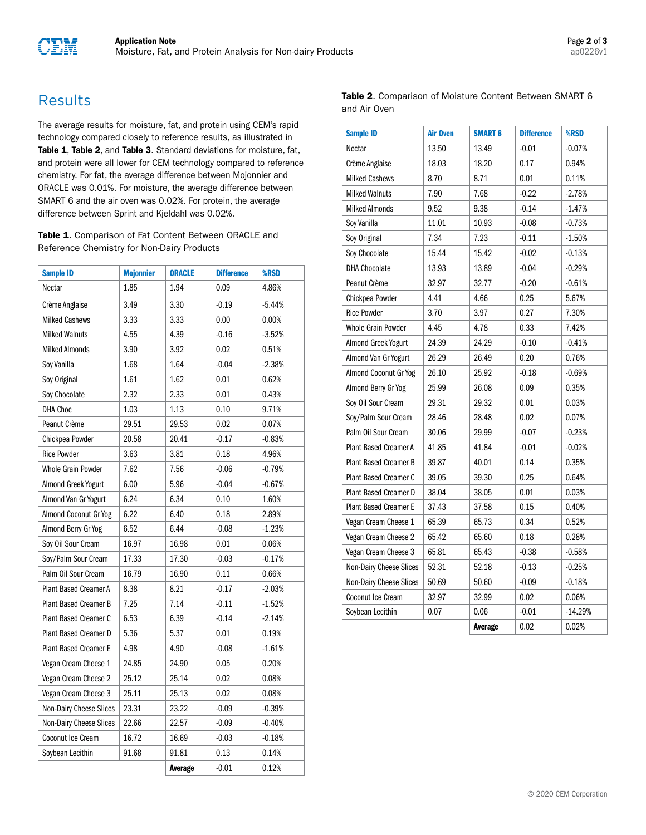

### **Results**

The average results for moisture, fat, and protein using CEM's rapid technology compared closely to reference results, as illustrated in Table 1, Table 2, and Table 3. Standard deviations for moisture, fat, and protein were all lower for CEM technology compared to reference chemistry. For fat, the average difference between Mojonnier and ORACLE was 0.01%. For moisture, the average difference between SMART 6 and the air oven was 0.02%. For protein, the average difference between Sprint and Kjeldahl was 0.02%.

Table 1. Comparison of Fat Content Between ORACLE and Reference Chemistry for Non-Dairy Products

| <b>Sample ID</b>             | <b>Mojonnier</b> | <b>ORACLE</b> | <b>Difference</b> | <b>%RSD</b> |
|------------------------------|------------------|---------------|-------------------|-------------|
| Nectar                       | 1.85             | 1.94          | 0.09              | 4.86%       |
| Crème Anglaise               | 3.49             | 3.30          | $-0.19$           | $-5.44%$    |
| <b>Milked Cashews</b>        | 3.33             | 3.33          | 0.00              | 0.00%       |
| <b>Milked Walnuts</b>        | 4.55             | 4.39          | $-0.16$           | $-3.52%$    |
| <b>Milked Almonds</b>        | 3.90             | 3.92          | 0.02              | 0.51%       |
| Soy Vanilla                  | 1.68             | 1.64          | $-0.04$           | $-2.38%$    |
| Soy Original                 | 1.61             | 1.62          | 0.01              | 0.62%       |
| Soy Chocolate                | 2.32             | 2.33          | 0.01              | 0.43%       |
| <b>DHA Choc</b>              | 1.03             | 1.13          | 0.10              | 9.71%       |
| Peanut Crème                 | 29.51            | 29.53         | 0.02              | 0.07%       |
| Chickpea Powder              | 20.58            | 20.41         | $-0.17$           | $-0.83%$    |
| <b>Rice Powder</b>           | 3.63             | 3.81          | 0.18              | 4.96%       |
| <b>Whole Grain Powder</b>    | 7.62             | 7.56          | $-0.06$           | $-0.79%$    |
| Almond Greek Yogurt          | 6.00             | 5.96          | $-0.04$           | $-0.67%$    |
| Almond Van Gr Yogurt         | 6.24             | 6.34          | 0.10              | 1.60%       |
| Almond Coconut Gr Yog        | 6.22             | 6.40          | 0.18              | 2.89%       |
| Almond Berry Gr Yog          | 6.52             | 6.44          | $-0.08$           | $-1.23%$    |
| Soy Oil Sour Cream           | 16.97            | 16.98         | 0.01              | 0.06%       |
| Soy/Palm Sour Cream          | 17.33            | 17.30         | $-0.03$           | $-0.17%$    |
| Palm Oil Sour Cream          | 16.79            | 16.90         | 0.11              | 0.66%       |
| Plant Based Creamer A        | 8.38             | 8.21          | $-0.17$           | $-2.03%$    |
| <b>Plant Based Creamer B</b> | 7.25             | 7.14          | $-0.11$           | $-1.52%$    |
| <b>Plant Based Creamer C</b> | 6.53             | 6.39          | $-0.14$           | $-2.14%$    |
| Plant Based Creamer D        | 5.36             | 5.37          | 0.01              | 0.19%       |
| <b>Plant Based Creamer E</b> | 4.98             | 4.90          | $-0.08$           | $-1.61%$    |
| Vegan Cream Cheese 1         | 24.85            | 24.90         | 0.05              | 0.20%       |
| Vegan Cream Cheese 2         | 25.12            | 25.14         | 0.02              | 0.08%       |
| Vegan Cream Cheese 3         | 25.11            | 25.13         | 0.02              | 0.08%       |
| Non-Dairy Cheese Slices      | 23.31            | 23.22         | $-0.09$           | $-0.39%$    |
| Non-Dairy Cheese Slices      | 22.66            | 22.57         | $-0.09$           | $-0.40%$    |
| Coconut Ice Cream            | 16.72            | 16.69         | $-0.03$           | $-0.18%$    |
| Soybean Lecithin             | 91.68            | 91.81         | 0.13              | 0.14%       |
|                              |                  | Average       | $-0.01$           | 0.12%       |

Table 2. Comparison of Moisture Content Between SMART 6 and Air Oven

| <b>Sample ID</b>             | <b>Air Oven</b> | <b>SMART 6</b> | <b>Difference</b> | %RSD      |
|------------------------------|-----------------|----------------|-------------------|-----------|
| Nectar                       | 13.50           | 13.49          | $-0.01$           | $-0.07%$  |
| Crème Anglaise               | 18.03           | 18.20          | 0.17              | 0.94%     |
| <b>Milked Cashews</b>        | 8.70            | 8.71           | 0.01              | 0.11%     |
| <b>Milked Walnuts</b>        | 7.90            | 7.68           | $-0.22$           | $-2.78%$  |
| <b>Milked Almonds</b>        | 9.52            | 9.38           | $-0.14$           | $-1.47%$  |
| Soy Vanilla                  | 11.01           | 10.93          | $-0.08$           | $-0.73%$  |
| Soy Original                 | 7.34            | 7.23           | $-0.11$           | $-1.50%$  |
| Soy Chocolate                | 15.44           | 15.42          | $-0.02$           | $-0.13%$  |
| <b>DHA Chocolate</b>         | 13.93           | 13.89          | $-0.04$           | $-0.29%$  |
| Peanut Crème                 | 32.97           | 32.77          | $-0.20$           | $-0.61%$  |
| Chickpea Powder              | 4.41            | 4.66           | 0.25              | 5.67%     |
| <b>Rice Powder</b>           | 3.70            | 3.97           | 0.27              | 7.30%     |
| <b>Whole Grain Powder</b>    | 4.45            | 4.78           | 0.33              | 7.42%     |
| Almond Greek Yogurt          | 24.39           | 24.29          | $-0.10$           | $-0.41%$  |
| Almond Van Gr Yogurt         | 26.29           | 26.49          | 0.20              | 0.76%     |
| Almond Coconut Gr Yog        | 26.10           | 25.92          | $-0.18$           | $-0.69%$  |
| Almond Berry Gr Yog          | 25.99           | 26.08          | 0.09              | 0.35%     |
| Soy Oil Sour Cream           | 29.31           | 29.32          | 0.01              | 0.03%     |
| Soy/Palm Sour Cream          | 28.46           | 28.48          | 0.02              | 0.07%     |
| Palm Oil Sour Cream          | 30.06           | 29.99          | $-0.07$           | $-0.23%$  |
| <b>Plant Based Creamer A</b> | 41.85           | 41.84          | $-0.01$           | $-0.02%$  |
| Plant Based Creamer B        | 39.87           | 40.01          | 0.14              | 0.35%     |
| Plant Based Creamer C        | 39.05           | 39.30          | 0.25              | 0.64%     |
| Plant Based Creamer D        | 38.04           | 38.05          | 0.01              | 0.03%     |
| <b>Plant Based Creamer E</b> | 37.43           | 37.58          | 0.15              | 0.40%     |
| Vegan Cream Cheese 1         | 65.39           | 65.73          | 0.34              | 0.52%     |
| Vegan Cream Cheese 2         | 65.42           | 65.60          | 0.18              | 0.28%     |
| Vegan Cream Cheese 3         | 65.81           | 65.43          | $-0.38$           | $-0.58%$  |
| Non-Dairy Cheese Slices      | 52.31           | 52.18          | $-0.13$           | $-0.25%$  |
| Non-Dairy Cheese Slices      | 50.69           | 50.60          | $-0.09$           | $-0.18%$  |
| Coconut Ice Cream            | 32.97           | 32.99          | 0.02              | 0.06%     |
| Soybean Lecithin             | 0.07            | 0.06           | $-0.01$           | $-14.29%$ |
|                              |                 | Average        | 0.02              | 0.02%     |